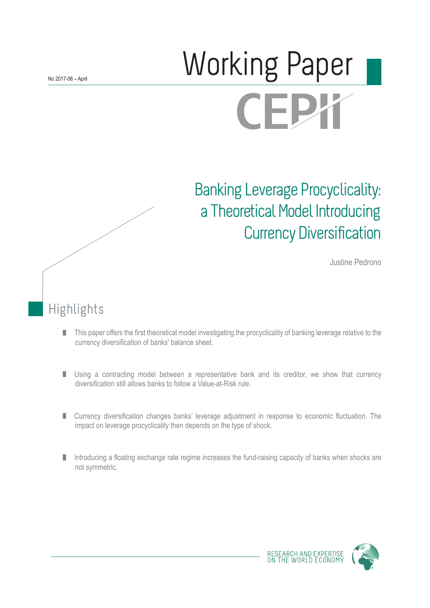# Norking Paper **CEPX**

## Banking Leverage Procyclicality: a Theoretical Model Introducing Currency Diversification

Justine Pedrono

## Highlights

- This paper offers the first theoretical model investigating the procyclicality of banking leverage relative to the П currency diversification of banks' balance sheet.
- Using a contracting model between a representative bank and its creditor, we show that currency П diversification still allows banks to follow a Value-at-Risk rule.
- Currency diversification changes banks' leverage adjustment in response to economic fluctuation. The П impact on leverage procyclicality then depends on the type of shock.
- Introducing a floating exchange rate regime increases the fund-raising capacity of banks when shocks are П not symmetric.



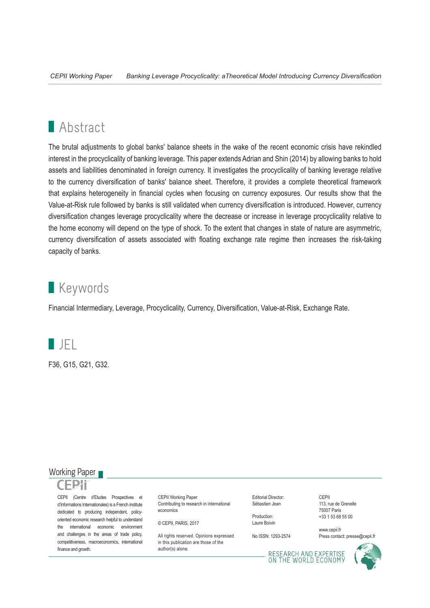## **Abstract**

The brutal adjustments to global banks' balance sheets in the wake of the recent economic crisis have rekindled interest in the procyclicality of banking leverage. This paper extends Adrian and Shin (2014) by allowing banks to hold assets and liabilities denominated in foreign currency. It investigates the procyclicality of banking leverage relative to the currency diversification of banks' balance sheet. Therefore, it provides a complete theoretical framework that explains heterogeneity in financial cycles when focusing on currency exposures. Our results show that the Value-at-Risk rule followed by banks is still validated when currency diversification is introduced. However, currency diversification changes leverage procyclicality where the decrease or increase in leverage procyclicality relative to the home economy will depend on the type of shock. To the extent that changes in state of nature are asymmetric, currency diversification of assets associated with floating exchange rate regime then increases the risk-taking capacity of banks.

## **Keywords**

Financial Intermediary, Leverage, Procyclicality, Currency, Diversification, Value-at-Risk, Exchange Rate.



F36, G15, G21, G32.

#### Working Paper

CEPII (Centre d'Etudes Prospectives et d'Informations Internationales) is a French institute dedicated to producing independent, policyoriented economic research helpful to understand the international economic environment and challenges in the areas of trade policy, competitiveness, macroeconomics, international finance and growth.

CEPII Working Paper Contributing to research in international economics

© CEPII, PARIS, 2017

All rights reserved. Opinions expressed. in this publication are those of the author(s) alone.

Editorial Director: Sébastien Jean

Production: Laure Boivin

No ISSN: 1293-2574

CEPII 113, rue de Grenelle 75007 Paris +33 1 53 68 55 00

www.cepii.fr Press contact: presse@cepii.fr

RESEARCH AND EXPERTISE<br>ON THE WORLD ECONOMY

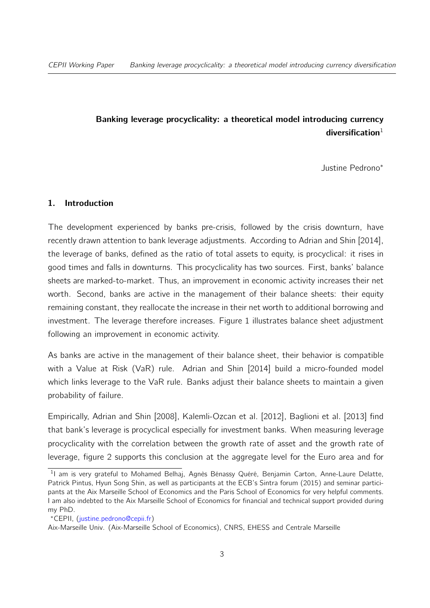### <span id="page-2-0"></span>Banking leverage procyclicality: a theoretical model introducing currency  $diversification<sup>1</sup>$

Justine Pedrono<sup>∗</sup>

#### 1. Introduction

The development experienced by banks pre-crisis, followed by the crisis downturn, have recently drawn attention to bank leverage adjustments. According to [Adrian and Shin](#page-30-0) [\[2014\]](#page-30-0), the leverage of banks, defined as the ratio of total assets to equity, is procyclical: it rises in good times and falls in downturns. This procyclicality has two sources. First, banks' balance sheets are marked-to-market. Thus, an improvement in economic activity increases their net worth. Second, banks are active in the management of their balance sheets: their equity remaining constant, they reallocate the increase in their net worth to additional borrowing and investment. The leverage therefore increases. Figure 1 illustrates balance sheet adjustment following an improvement in economic activity.

As banks are active in the management of their balance sheet, their behavior is compatible with a Value at Risk (VaR) rule. [Adrian and Shin](#page-30-0) [\[2014\]](#page-30-0) build a micro-founded model which links leverage to the VaR rule. Banks adjust their balance sheets to maintain a given probability of failure.

Empirically, [Adrian and Shin](#page-30-1) [\[2008\]](#page-30-1), [Kalemli-Ozcan et al.](#page-30-2) [\[2012\]](#page-30-2), [Baglioni et al.](#page-30-3) [\[2013\]](#page-30-3) find that bank's leverage is procyclical especially for investment banks. When measuring leverage procyclicality with the correlation between the growth rate of asset and the growth rate of leverage, figure 2 supports this conclusion at the aggregate level for the Euro area and for

<sup>&</sup>lt;sup>1</sup>l am is very grateful to Mohamed Belhaj, Agnès Bénassy Quéré, Benjamin Carton, Anne-Laure Delatte, Patrick Pintus, Hyun Song Shin, as well as participants at the ECB's Sintra forum (2015) and seminar participants at the Aix Marseille School of Economics and the Paris School of Economics for very helpful comments. I am also indebted to the Aix Marseille School of Economics for financial and technical support provided during my PhD.

<sup>∗</sup>CEPII, [\(justine.pedrono@cepii.fr\)](mailto:justine.pedrono@cepii.fr)

Aix-Marseille Univ. (Aix-Marseille School of Economics), CNRS, EHESS and Centrale Marseille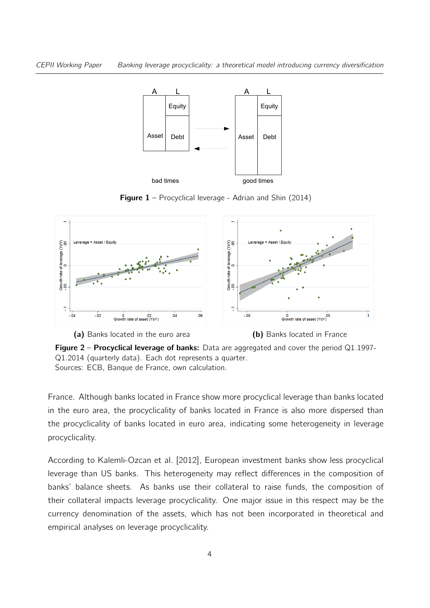

**Figure 1** – Procyclical leverage - Adrian and Shin (2014)



Figure 2 – Procyclical leverage of banks: Data are aggregated and cover the period Q1.1997-Q1.2014 (quarterly data). Each dot represents a quarter. Sources: ECB, Banque de France, own calculation.

France. Although banks located in France show more procyclical leverage than banks located in the euro area, the procyclicality of banks located in France is also more dispersed than the procyclicality of banks located in euro area, indicating some heterogeneity in leverage procyclicality.

According to [Kalemli-Ozcan et al.](#page-30-2) [\[2012\]](#page-30-2), European investment banks show less procyclical leverage than US banks. This heterogeneity may reflect differences in the composition of banks' balance sheets. As banks use their collateral to raise funds, the composition of their collateral impacts leverage procyclicality. One major issue in this respect may be the currency denomination of the assets, which has not been incorporated in theoretical and empirical analyses on leverage procyclicality.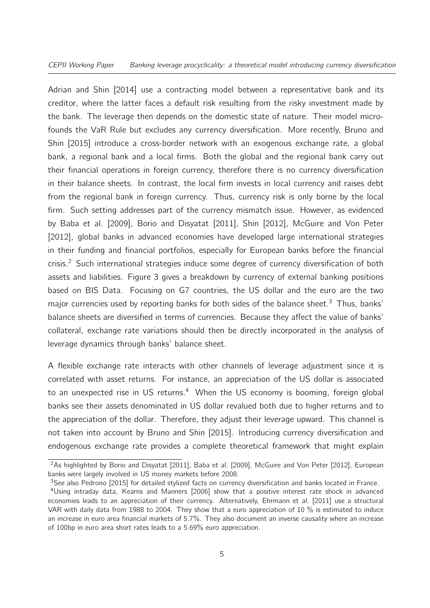#### CEPII Working Paper Banking leverage procyclicality: a theoretical model introducing currency diversification

[Adrian and Shin](#page-30-0) [\[2014\]](#page-30-0) use a contracting model between a representative bank and its creditor, where the latter faces a default risk resulting from the risky investment made by the bank. The leverage then depends on the domestic state of nature. Their model microfounds the VaR Rule but excludes any currency diversification. More recently, [Bruno and](#page-30-4) [Shin](#page-30-4) [\[2015\]](#page-30-4) introduce a cross-border network with an exogenous exchange rate, a global bank, a regional bank and a local firms. Both the global and the regional bank carry out their financial operations in foreign currency, therefore there is no currency diversification in their balance sheets. In contrast, the local firm invests in local currency and raises debt from the regional bank in foreign currency. Thus, currency risk is only borne by the local firm. Such setting addresses part of the currency mismatch issue. However, as evidenced by [Baba et al.](#page-30-5) [\[2009\]](#page-30-5), [Borio and Disyatat](#page-30-6) [\[2011\]](#page-30-6), [Shin](#page-31-0) [\[2012\]](#page-31-0), [McGuire and Von Peter](#page-31-1) [\[2012\]](#page-31-1), global banks in advanced economies have developed large international strategies in their funding and financial portfolios, especially for European banks before the financial crisis.[2](#page-2-0) Such international strategies induce some degree of currency diversification of both assets and liabilities. Figure 3 gives a breakdown by currency of external banking positions based on BIS Data. Focusing on G7 countries, the US dollar and the euro are the two major currencies used by reporting banks for both sides of the balance sheet.<sup>[3](#page-2-0)</sup> Thus, banks' balance sheets are diversified in terms of currencies. Because they affect the value of banks' collateral, exchange rate variations should then be directly incorporated in the analysis of leverage dynamics through banks' balance sheet.

A flexible exchange rate interacts with other channels of leverage adjustment since it is correlated with asset returns. For instance, an appreciation of the US dollar is associated to an unexpected rise in US returns.<sup>[4](#page-2-0)</sup> When the US economy is booming, foreign global banks see their assets denominated in US dollar revalued both due to higher returns and to the appreciation of the dollar. Therefore, they adjust their leverage upward. This channel is not taken into account by [Bruno and Shin](#page-30-4) [\[2015\]](#page-30-4). Introducing currency diversification and endogenous exchange rate provides a complete theoretical framework that might explain

<sup>&</sup>lt;sup>2</sup>As highlighted by [Borio and Disyatat](#page-30-6) [\[2011\]](#page-30-6), [Baba et al.](#page-30-5) [\[2009\]](#page-30-5), [McGuire and Von Peter](#page-31-1) [\[2012\]](#page-31-1), European banks were largely involved in US money markets before 2008.

<sup>&</sup>lt;sup>3</sup>See also [Pedrono](#page-31-2) [\[2015\]](#page-31-2) for detailed stylized facts on currency diversification and banks located in France.

<sup>4</sup>Using intraday data, [Kearns and Manners](#page-30-7) [\[2006\]](#page-30-7) show that a positive interest rate shock in advanced economies leads to an appreciation of their currency. Alternatively, [Ehrmann et al.](#page-30-8) [\[2011\]](#page-30-8) use a structural VAR with daily data from 1988 to 2004. They show that a euro appreciation of 10 % is estimated to induce an increase in euro area financial markets of 5.7%. They also document an inverse causality where an increase of 100bp in euro area short rates leads to a 5.69% euro appreciation.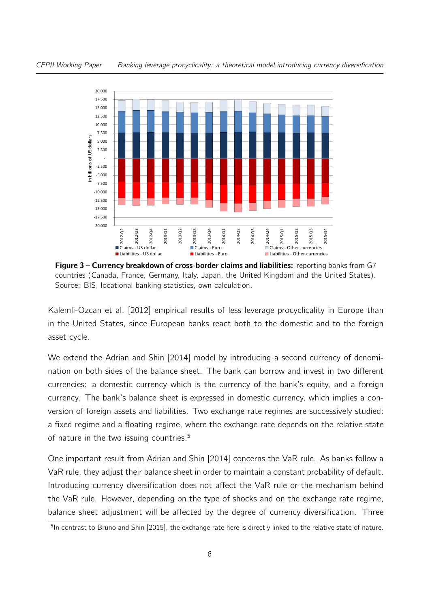

Figure 3 – Currency breakdown of cross-border claims and liabilities: reporting banks from G7 countries (Canada, France, Germany, Italy, Japan, the United Kingdom and the United States). Source: BIS, locational banking statistics, own calculation.

[Kalemli-Ozcan et al.](#page-30-2) [\[2012\]](#page-30-2) empirical results of less leverage procyclicality in Europe than in the United States, since European banks react both to the domestic and to the foreign asset cycle.

We extend the [Adrian and Shin](#page-30-0) [\[2014\]](#page-30-0) model by introducing a second currency of denomination on both sides of the balance sheet. The bank can borrow and invest in two different currencies: a domestic currency which is the currency of the bank's equity, and a foreign currency. The bank's balance sheet is expressed in domestic currency, which implies a conversion of foreign assets and liabilities. Two exchange rate regimes are successively studied: a fixed regime and a floating regime, where the exchange rate depends on the relative state of nature in the two issuing countries.<sup>[5](#page-2-0)</sup>

One important result from [Adrian and Shin](#page-30-0) [\[2014\]](#page-30-0) concerns the VaR rule. As banks follow a VaR rule, they adjust their balance sheet in order to maintain a constant probability of default. Introducing currency diversification does not affect the VaR rule or the mechanism behind the VaR rule. However, depending on the type of shocks and on the exchange rate regime, balance sheet adjustment will be affected by the degree of currency diversification. Three

<sup>&</sup>lt;sup>5</sup>In contrast to [Bruno and Shin](#page-30-4) [\[2015\]](#page-30-4), the exchange rate here is directly linked to the relative state of nature.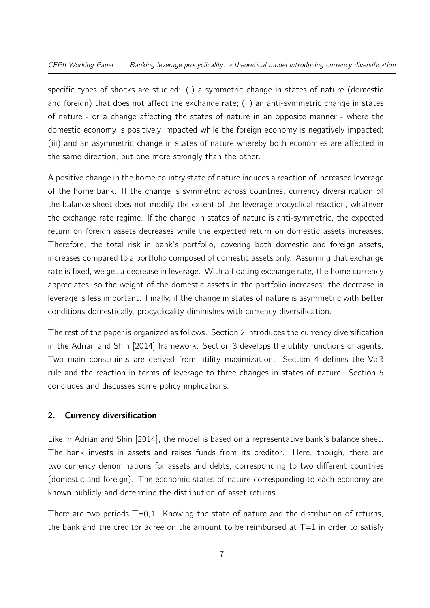#### CEPII Working Paper Banking leverage procyclicality: a theoretical model introducing currency diversification

specific types of shocks are studied: (i) a symmetric change in states of nature (domestic and foreign) that does not affect the exchange rate; (ii) an anti-symmetric change in states of nature - or a change affecting the states of nature in an opposite manner - where the domestic economy is positively impacted while the foreign economy is negatively impacted; (iii) and an asymmetric change in states of nature whereby both economies are affected in the same direction, but one more strongly than the other.

A positive change in the home country state of nature induces a reaction of increased leverage of the home bank. If the change is symmetric across countries, currency diversification of the balance sheet does not modify the extent of the leverage procyclical reaction, whatever the exchange rate regime. If the change in states of nature is anti-symmetric, the expected return on foreign assets decreases while the expected return on domestic assets increases. Therefore, the total risk in bank's portfolio, covering both domestic and foreign assets, increases compared to a portfolio composed of domestic assets only. Assuming that exchange rate is fixed, we get a decrease in leverage. With a floating exchange rate, the home currency appreciates, so the weight of the domestic assets in the portfolio increases: the decrease in leverage is less important. Finally, if the change in states of nature is asymmetric with better conditions domestically, procyclicality diminishes with currency diversification.

The rest of the paper is organized as follows. Section 2 introduces the currency diversification in the [Adrian and Shin](#page-30-0) [\[2014\]](#page-30-0) framework. Section 3 develops the utility functions of agents. Two main constraints are derived from utility maximization. Section 4 defines the VaR rule and the reaction in terms of leverage to three changes in states of nature. Section 5 concludes and discusses some policy implications.

#### 2. Currency diversification

Like in [Adrian and Shin](#page-30-0) [\[2014\]](#page-30-0), the model is based on a representative bank's balance sheet. The bank invests in assets and raises funds from its creditor. Here, though, there are two currency denominations for assets and debts, corresponding to two different countries (domestic and foreign). The economic states of nature corresponding to each economy are known publicly and determine the distribution of asset returns.

There are two periods  $T=0,1$ . Knowing the state of nature and the distribution of returns, the bank and the creditor agree on the amount to be reimbursed at  $T=1$  in order to satisfy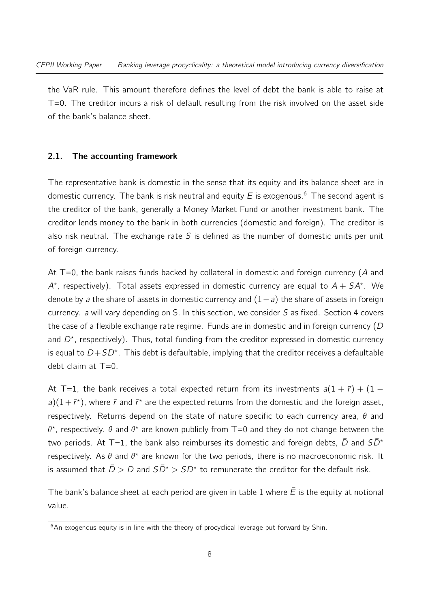the VaR rule. This amount therefore defines the level of debt the bank is able to raise at T=0. The creditor incurs a risk of default resulting from the risk involved on the asset side of the bank's balance sheet.

#### 2.1. The accounting framework

The representative bank is domestic in the sense that its equity and its balance sheet are in domestic currency. The bank is risk neutral and equity  $E$  is exogenous.<sup>[6](#page-2-0)</sup> The second agent is the creditor of the bank, generally a Money Market Fund or another investment bank. The creditor lends money to the bank in both currencies (domestic and foreign). The creditor is also risk neutral. The exchange rate  $S$  is defined as the number of domestic units per unit of foreign currency.

At  $T=0$ , the bank raises funds backed by collateral in domestic and foreign currency (A and  $A^*$ , respectively). Total assets expressed in domestic currency are equal to  $A + SA^*$ . We denote by a the share of assets in domestic currency and  $(1-a)$  the share of assets in foreign currency. a will vary depending on S. In this section, we consider S as fixed. Section 4 covers the case of a flexible exchange rate regime. Funds are in domestic and in foreign currency (D and  $D^*$ , respectively). Thus, total funding from the creditor expressed in domestic currency is equal to  $D+SD^*$ . This debt is defaultable, implying that the creditor receives a defaultable debt claim at  $T=0$ .

At T=1, the bank receives a total expected return from its investments  $a(1 + \bar{r}) + (1$  $a(1+\bar{r}^*)$ , where  $\bar{r}$  and  $\bar{r}^*$  are the expected returns from the domestic and the foreign asset, respectively. Returns depend on the state of nature specific to each currency area,  $\theta$  and  $\theta^*$ , respectively.  $\theta$  and  $\theta^*$  are known publicly from T=0 and they do not change between the two periods. At T=1, the bank also reimburses its domestic and foreign debts,  $\bar{D}$  and  $S\bar{D}^*$ respectively. As  $\theta$  and  $\theta^*$  are known for the two periods, there is no macroeconomic risk. It is assumed that  $\bar{D} > D$  and  $S\bar{D}^{\star} > SD^{\star}$  to remunerate the creditor for the default risk.

The bank's balance sheet at each period are given in table 1 where  $\bar{E}$  is the equity at notional value.

 $\overline{6}$ An exogenous equity is in line with the theory of procyclical leverage put forward by Shin.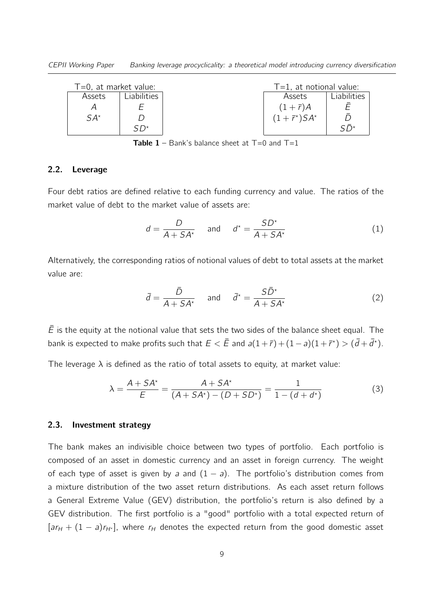| $T=0$ , at market value: |             | $T=1$ , at notional value:      |                    |
|--------------------------|-------------|---------------------------------|--------------------|
| Assets                   | Liabilities | Assets                          | <b>Liabilities</b> |
|                          |             | $(1+\bar{r})A$                  |                    |
| $SA^{\star}$             |             | $(1+\bar{r}^{\star})SA^{\star}$ |                    |
|                          | $CD^*$      |                                 |                    |

**Table 1** – Bank's balance sheet at  $T=0$  and  $T=1$ 

#### 2.2. Leverage

Four debt ratios are defined relative to each funding currency and value. The ratios of the market value of debt to the market value of assets are:

$$
d = \frac{D}{A + SA^*} \quad \text{and} \quad d^* = \frac{SD^*}{A + SA^*} \tag{1}
$$

Alternatively, the corresponding ratios of notional values of debt to total assets at the market value are:

$$
\bar{d} = \frac{\bar{D}}{A + SA^*} \quad \text{and} \quad \bar{d}^* = \frac{S\bar{D}^*}{A + SA^*} \tag{2}
$$

 $\bar{E}$  is the equity at the notional value that sets the two sides of the balance sheet equal. The bank is expected to make profits such that  $E < \bar{E}$  and  $a(1+\bar{r}) + (1-a)(1+\bar{r}^*) > (\bar{d} + \bar{d}^*)$ .

The leverage  $\lambda$  is defined as the ratio of total assets to equity, at market value:

$$
\lambda = \frac{A + SA^*}{E} = \frac{A + SA^*}{(A + SA^*) - (D + SD^*)} = \frac{1}{1 - (d + d^*)}
$$
(3)

#### 2.3. Investment strategy

The bank makes an indivisible choice between two types of portfolio. Each portfolio is composed of an asset in domestic currency and an asset in foreign currency. The weight of each type of asset is given by a and  $(1 - a)$ . The portfolio's distribution comes from a mixture distribution of the two asset return distributions. As each asset return follows a General Extreme Value (GEV) distribution, the portfolio's return is also defined by a GEV distribution. The first portfolio is a "good" portfolio with a total expected return of  $[ar_H + (1 - a)r_{H^*}]$ , where  $r_H$  denotes the expected return from the good domestic asset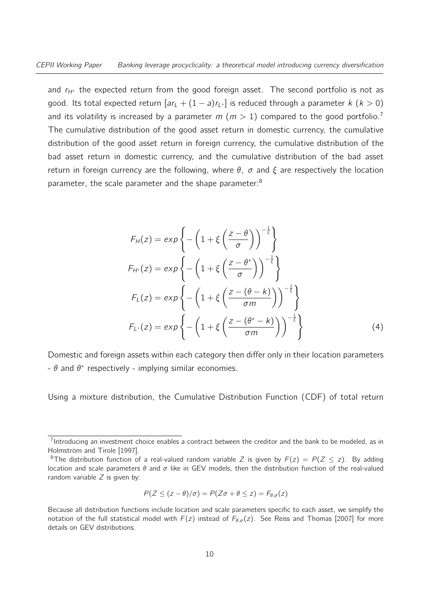and  $r_{H^*}$  the expected return from the good foreign asset. The second portfolio is not as good. Its total expected return  $\left[ar_L + (1 - a)r_{L^*}\right]$  is reduced through a parameter k  $(k > 0)$ and its volatility is increased by a parameter  $m (m > 1)$  compared to the good portfolio.<sup>[7](#page-2-0)</sup> The cumulative distribution of the good asset return in domestic currency, the cumulative distribution of the good asset return in foreign currency, the cumulative distribution of the bad asset return in domestic currency, and the cumulative distribution of the bad asset return in foreign currency are the following, where  $\theta$ ,  $\sigma$  and  $\xi$  are respectively the location parameter, the scale parameter and the shape parameter:<sup>[8](#page-2-0)</sup>

$$
F_H(z) = \exp\left\{-\left(1 + \xi\left(\frac{z - \theta}{\sigma}\right)\right)^{-\frac{1}{\xi}}\right\}
$$
  
\n
$$
F_{H^*}(z) = \exp\left\{-\left(1 + \xi\left(\frac{z - \theta^*}{\sigma}\right)\right)^{-\frac{1}{\xi}}\right\}
$$
  
\n
$$
F_L(z) = \exp\left\{-\left(1 + \xi\left(\frac{z - (\theta - k)}{\sigma m}\right)\right)^{-\frac{1}{\xi}}\right\}
$$
  
\n
$$
F_{L^*}(z) = \exp\left\{-\left(1 + \xi\left(\frac{z - (\theta^* - k)}{\sigma m}\right)\right)^{-\frac{1}{\xi}}\right\}
$$
 (4)

Domestic and foreign assets within each category then differ only in their location parameters -  $\theta$  and  $\theta^*$  respectively - implying similar economies.

Using a mixture distribution, the Cumulative Distribution Function (CDF) of total return

$$
P(Z \leq (z - \theta)/\sigma) = P(Z\sigma + \theta \leq z) = F_{\theta,\sigma}(z)
$$

 $<sup>7</sup>$ Introducing an investment choice enables a contract between the creditor and the bank to be modeled, as in</sup> [Holmström and Tirole](#page-30-9) [\[1997\]](#page-30-9).

<sup>&</sup>lt;sup>8</sup>The distribution function of a real-valued random variable Z is given by  $F(z) = P(Z \le z)$ . By adding location and scale parameters θ and σ like in GEV models, then the distribution function of the real-valued random variable  $Z$  is given by:

Because all distribution functions include location and scale parameters specific to each asset, we simplify the notation of the full statistical model with  $F(z)$  instead of  $F_{\theta,\sigma}(z)$ . See [Reiss and Thomas](#page-31-3) [\[2007\]](#page-31-3) for more details on GEV distributions.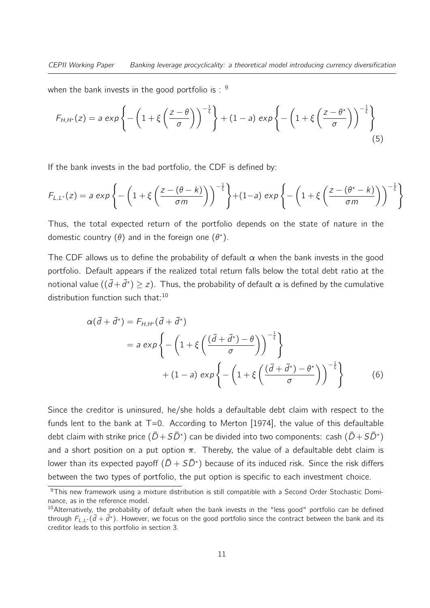when the bank invests in the good portfolio is :  $9$ 

$$
F_{H,H^*}(z) = a \exp\left\{-\left(1+\xi\left(\frac{z-\theta}{\sigma}\right)\right)^{-\frac{1}{\xi}}\right\} + (1-a) \exp\left\{-\left(1+\xi\left(\frac{z-\theta^*}{\sigma}\right)\right)^{-\frac{1}{\xi}}\right\}
$$
(5)

If the bank invests in the bad portfolio, the CDF is defined by:

$$
F_{L,L^*}(z) = a \exp\left\{-\left(1+\xi\left(\frac{z-(\theta-k)}{\sigma m}\right)\right)^{-\frac{1}{\xi}}\right\} + (1-a) \exp\left\{-\left(1+\xi\left(\frac{z-(\theta^*-k)}{\sigma m}\right)\right)^{-\frac{1}{\xi}}\right\}
$$

Thus, the total expected return of the portfolio depends on the state of nature in the domestic country  $(\theta)$  and in the foreign one  $(\theta^*)$ .

The CDF allows us to define the probability of default  $\alpha$  when the bank invests in the good portfolio. Default appears if the realized total return falls below the total debt ratio at the notional value  $((\bar{d}+\bar{d}^{\star})\geq z)$ . Thus, the probability of default  $\alpha$  is defined by the cumulative distribution function such that:<sup>[10](#page-2-0)</sup>

$$
\alpha(\bar{d} + \bar{d}^*) = F_{H,H^*}(\bar{d} + \bar{d}^*)
$$
  
=  $a \exp\left\{-\left(1 + \xi\left(\frac{(\bar{d} + \bar{d}^*) - \theta}{\sigma}\right)\right)^{-\frac{1}{\xi}}\right\}$   
+  $(1 - a) \exp\left\{-\left(1 + \xi\left(\frac{(\bar{d} + \bar{d}^*) - \theta^*}{\sigma}\right)\right)^{-\frac{1}{\xi}}\right\}$  (6)

Since the creditor is uninsured, he/she holds a defaultable debt claim with respect to the funds lent to the bank at  $T=0$ . According to [Merton](#page-31-4) [\[1974\]](#page-31-4), the value of this defaultable debt claim with strike price  $(\bar{D}+S\bar{D}^{\star})$  can be divided into two components: cash  $(\bar{D}+S\bar{D}^{\star})$ and a short position on a put option  $\pi$ . Thereby, the value of a defaultable debt claim is lower than its expected payoff  $(\bar{D} + S\bar{D}^{\star})$  because of its induced risk. Since the risk differs between the two types of portfolio, the put option is specific to each investment choice.

<sup>&</sup>lt;sup>9</sup>This new framework using a mixture distribution is still compatible with a Second Order Stochastic Dominance, as in the reference model.

<sup>&</sup>lt;sup>10</sup>Alternatively, the probability of default when the bank invests in the "less good" portfolio can be defined through  $F_{L,L^*}(\bar{d}+\bar{d}^*)$ . However, we focus on the good portfolio since the contract between the bank and its creditor leads to this portfolio in section 3.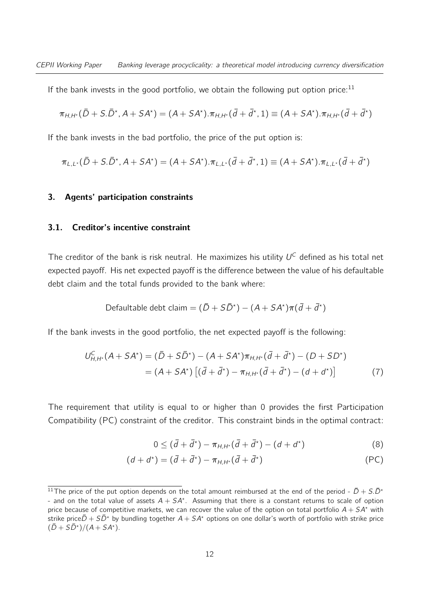If the bank invests in the good portfolio, we obtain the following put option price: $11$ 

$$
\pi_{H,H^*}(\bar{D} + S.\bar{D}^*, A + SA^*) = (A + SA^*).\pi_{H,H^*}(\bar{d} + \bar{d}^*, 1) \equiv (A + SA^*).\pi_{H,H^*}(\bar{d} + \bar{d}^*)
$$

If the bank invests in the bad portfolio, the price of the put option is:

$$
\pi_{L,L^*}(\bar{D} + S.\bar{D}^*, A + SA^*) = (A + SA^*).\pi_{L,L^*}(\bar{d} + \bar{d}^*, 1) \equiv (A + SA^*).\pi_{L,L^*}(\bar{d} + \bar{d}^*)
$$

#### 3. Agents' participation constraints

#### 3.1. Creditor's incentive constraint

The creditor of the bank is risk neutral. He maximizes his utility  $U^C$  defined as his total net expected payoff. His net expected payoff is the difference between the value of his defaultable debt claim and the total funds provided to the bank where:

Defaultable debt claim = 
$$
(\bar{D} + S\bar{D}^*) - (A + SA^*)\pi(\bar{d} + \bar{d}^*)
$$

If the bank invests in the good portfolio, the net expected payoff is the following:

$$
U_{H,H^*}^C(A+SA^*) = (\bar{D}+S\bar{D}^*) - (A+SA^*)\pi_{H,H^*}(\bar{d}+\bar{d}^*) - (D+SD^*)
$$
  
=  $(A+SA^*) [(\bar{d}+\bar{d}^*) - \pi_{H,H^*}(\bar{d}+\bar{d}^*) - (d+d^*)]$  (7)

The requirement that utility is equal to or higher than 0 provides the first Participation Compatibility (PC) constraint of the creditor. This constraint binds in the optimal contract:

$$
0 \leq (\bar{d} + \bar{d}^{\star}) - \pi_{H, H^{\star}}(\bar{d} + \bar{d}^{\star}) - (d + d^{\star}) \tag{8}
$$

$$
(d + d*) = (\bar{d} + \bar{d}*) - \pi_{H,H*}(\bar{d} + \bar{d}*)
$$
 (PC)

<sup>&</sup>lt;sup>11</sup>The price of the put option depends on the total amount reimbursed at the end of the period -  $\bar{D} + S.\bar{D}^*$ - and on the total value of assets  $A + SA^*$ . Assuming that there is a constant returns to scale of option price because of competitive markets, we can recover the value of the option on total portfolio  $A + SA^*$  with strike price $\bar{D}$  +  $S\bar{D}$ <sup>\*</sup> by bundling together  $A + SA$ <sup>\*</sup> options on one dollar's worth of portfolio with strike price  $(\bar{D} + S\bar{D}^*)/(A + SA^*)$ .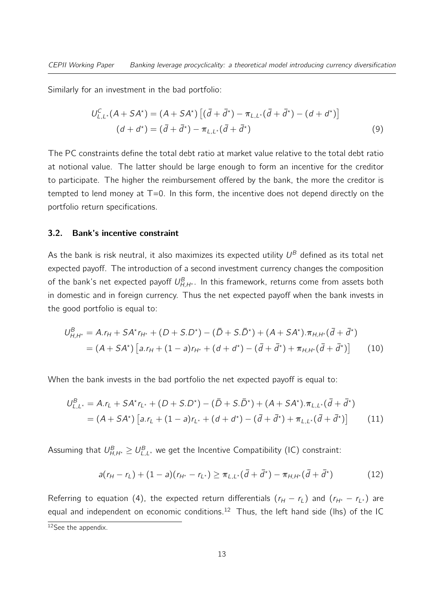Similarly for an investment in the bad portfolio:

$$
U_{L,L^{*}}^{C}(A + SA^{*}) = (A + SA^{*}) \left[ (\bar{d} + \bar{d}^{*}) - \pi_{L,L^{*}}(\bar{d} + \bar{d}^{*}) - (d + d^{*}) \right]
$$
  

$$
(d + d^{*}) = (\bar{d} + \bar{d}^{*}) - \pi_{L,L^{*}}(\bar{d} + \bar{d}^{*})
$$
 (9)

The PC constraints define the total debt ratio at market value relative to the total debt ratio at notional value. The latter should be large enough to form an incentive for the creditor to participate. The higher the reimbursement offered by the bank, the more the creditor is tempted to lend money at  $T=0$ . In this form, the incentive does not depend directly on the portfolio return specifications.

#### 3.2. Bank's incentive constraint

As the bank is risk neutral, it also maximizes its expected utility  $U^B$  defined as its total net expected payoff. The introduction of a second investment currency changes the composition of the bank's net expected payoff  $U_{H,H^{\star}}^{B}$ . In this framework, returns come from assets both in domestic and in foreign currency. Thus the net expected payoff when the bank invests in the good portfolio is equal to:

$$
U_{H,H^{*}}^{B} = A.r_{H} + SA^{*}r_{H^{*}} + (D + S.D^{*}) - (\bar{D} + S.\bar{D}^{*}) + (A + SA^{*})\cdot\pi_{H,H^{*}}(\bar{d} + \bar{d}^{*})
$$
  
=  $(A + SA^{*}) [a.r_{H} + (1 - a)r_{H^{*}} + (d + d^{*}) - (\bar{d} + \bar{d}^{*}) + \pi_{H,H^{*}}(\bar{d} + \bar{d}^{*})]$  (10)

When the bank invests in the bad portfolio the net expected payoff is equal to:

$$
U_{L,L^{*}}^{B} = A.r_{L} + SA^{*}r_{L^{*}} + (D + S.D^{*}) - (\bar{D} + S.\bar{D}^{*}) + (A + SA^{*}).\pi_{L,L^{*}}(\bar{d} + \bar{d}^{*})
$$
  
=  $(A + SA^{*}) [a.r_{L} + (1 - a)r_{L^{*}} + (d + d^{*}) - (\bar{d} + \bar{d}^{*}) + \pi_{L,L^{*}}(\bar{d} + \bar{d}^{*})]$  (11)

Assuming that  $U_{H,H^{\star}}^B \geq U_{L,L^{\star}}^B$  we get the Incentive Compatibility (IC) constraint:

$$
a(r_H - r_L) + (1 - a)(r_{H^*} - r_{L^*}) \ge \pi_{L,L^*}(\bar{d} + \bar{d}^*) - \pi_{H,H^*}(\bar{d} + \bar{d}^*)
$$
(12)

Referring to equation (4), the expected return differentials  $(r_H - r_L)$  and  $(r_{H^*} - r_{L^*})$  are equal and independent on economic conditions.<sup>[12](#page-2-0)</sup> Thus, the left hand side (lhs) of the IC  $12$ See the appendix.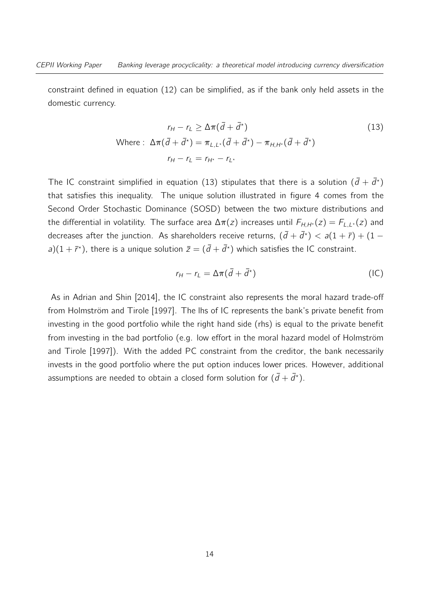constraint defined in equation (12) can be simplified, as if the bank only held assets in the domestic currency.

$$
r_H - r_L \ge \Delta \pi (\bar{d} + \bar{d}^*)
$$
  
\nWhere: 
$$
\Delta \pi (\bar{d} + \bar{d}^*) = \pi_{L,L^*} (\bar{d} + \bar{d}^*) - \pi_{H,H^*} (\bar{d} + \bar{d}^*)
$$
  
\n
$$
r_H - r_L = r_{H^*} - r_{L^*}
$$
\n(13)

The IC constraint simplified in equation (13) stipulates that there is a solution  $(\bar{d} + \bar{d}^{\star})$ that satisfies this inequality. The unique solution illustrated in figure 4 comes from the Second Order Stochastic Dominance (SOSD) between the two mixture distributions and the differential in volatility. The surface area  $\Delta \pi(z)$  increases until  $F_{H,H^*}(z) = F_{L,L^*}(z)$  and decreases after the junction. As shareholders receive returns,  $(\bar{d} + \bar{d}^{\star}) < a(1 + \bar{r}) + (1 - \bar{r})$ a) $(1 + \bar{r}^*)$ , there is a unique solution  $\bar{z} = (\bar{d} + \bar{d}^*)$  which satisfies the IC constraint.

$$
r_H - r_L = \Delta \pi (\bar{d} + \bar{d}^*)
$$
 (IC)

As in [Adrian and Shin](#page-30-0) [\[2014\]](#page-30-0), the IC constraint also represents the moral hazard trade-off from [Holmström and Tirole](#page-30-9) [\[1997\]](#page-30-9). The lhs of IC represents the bank's private benefit from investing in the good portfolio while the right hand side (rhs) is equal to the private benefit from investing in the bad portfolio (e.g. low effort in the moral hazard model of [Holmström](#page-30-9) [and Tirole](#page-30-9) [\[1997\]](#page-30-9)). With the added PC constraint from the creditor, the bank necessarily invests in the good portfolio where the put option induces lower prices. However, additional assumptions are needed to obtain a closed form solution for  $(\bar{d} + \bar{d}^{\star}).$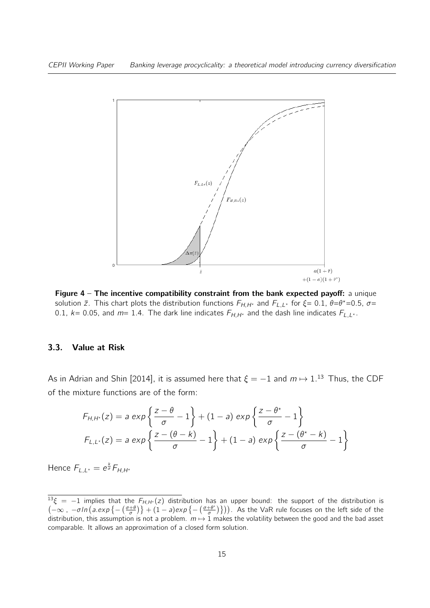

Figure 4 – The incentive compatibility constraint from the bank expected payoff: a unique solution  $\bar{z}$ . This chart plots the distribution functions  $F_{H,H^*}$  and  $F_{L,L^*}$  for  $\xi = 0.1$ ,  $\theta = \theta^* = 0.5$ ,  $\sigma =$ 0.1,  $k=$  0.05, and  $m=$  1.4. The dark line indicates  $F_{H,H^*}$  and the dash line indicates  $F_{L,L^*}$ .

#### 3.3. Value at Risk

As in [Adrian and Shin](#page-30-0) [\[2014\]](#page-30-0), it is assumed here that  $\xi = -1$  and  $m \mapsto 1^{13}$  $m \mapsto 1^{13}$  $m \mapsto 1^{13}$  Thus, the CDF of the mixture functions are of the form:

$$
F_{H,H^*}(z) = a \exp\left\{\frac{z-\theta}{\sigma} - 1\right\} + (1-a) \exp\left\{\frac{z-\theta^*}{\sigma} - 1\right\}
$$

$$
F_{L,L^*}(z) = a \exp\left\{\frac{z-(\theta-k)}{\sigma} - 1\right\} + (1-a) \exp\left\{\frac{z-(\theta^*-k)}{\sigma} - 1\right\}
$$

Hence  $F_{L,L^{\star}}=e^{\frac{k}{\sigma}}F_{H,H^{\star}}$ 

 $13\xi = -1$  implies that the  $F_{H,H^*}(z)$  distribution has an upper bound: the support of the distribution is  $(-\infty, -\sigma \ln \left( a. \exp \left\{ -\left( \frac{\sigma+\theta}{\sigma} \right) \right\} + (1-a) \exp \left\{ -\left( \frac{\sigma+\theta^*}{\sigma} \right) \right\} \right)$  $(\frac{+\theta^*}{\sigma})$  })). As the VaR rule focuses on the left side of the distribution, this assumption is not a problem.  $m \mapsto 1$  makes the volatility between the good and the bad asset comparable. It allows an approximation of a closed form solution.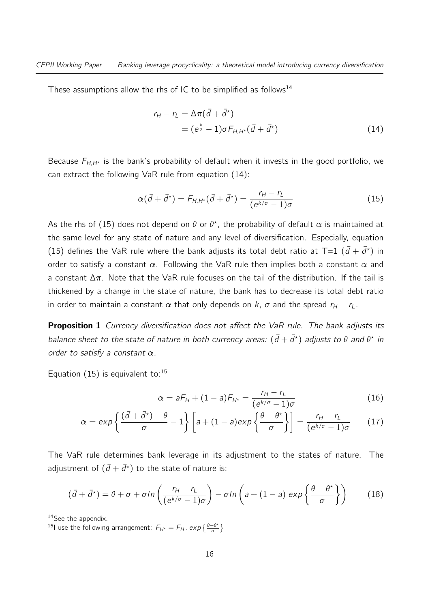These assumptions allow the rhs of IC to be simplified as follows<sup>[14](#page-2-0)</sup>

$$
r_H - r_L = \Delta \pi (\bar{d} + \bar{d}^*)
$$
  
=  $(e^{\frac{k}{\sigma}} - 1)\sigma F_{H,H^*}(\bar{d} + \bar{d}^*)$  (14)

Because  $F_{H,H^*}$  is the bank's probability of default when it invests in the good portfolio, we can extract the following VaR rule from equation (14):

$$
\alpha(\bar{d} + \bar{d}^*) = F_{H,H^*}(\bar{d} + \bar{d}^*) = \frac{r_H - r_L}{(e^{k/\sigma} - 1)\sigma}
$$
(15)

As the rhs of (15) does not depend on  $\theta$  or  $\theta^*$ , the probability of default  $\alpha$  is maintained at the same level for any state of nature and any level of diversification. Especially, equation (15) defines the VaR rule where the bank adjusts its total debt ratio at T=1  $(\bar{d} + \bar{d}^*)$  in order to satisfy a constant  $\alpha$ . Following the VaR rule then implies both a constant  $\alpha$  and a constant  $\Delta \pi$ . Note that the VaR rule focuses on the tail of the distribution. If the tail is thickened by a change in the state of nature, the bank has to decrease its total debt ratio in order to maintain a constant  $\alpha$  that only depends on k,  $\sigma$  and the spread  $r_H - r_L$ .

**Proposition 1** Currency diversification does not affect the VaR rule. The bank adjusts its balance sheet to the state of nature in both currency areas:  $(\bar{d} + \bar{d}^*)$  adjusts to  $\theta$  and  $\theta^*$  in order to satisfy a constant  $\alpha$ .

Equation ([15](#page-2-0)) is equivalent to: $15$ 

$$
\alpha = aF_H + (1 - a)F_{H^*} = \frac{r_H - r_L}{(e^{k/\sigma} - 1)\sigma}
$$
(16)

$$
\alpha = \exp\left\{\frac{(\bar{d} + \bar{d}^*) - \theta}{\sigma} - 1\right\} \left[a + (1 - a)\exp\left\{\frac{\theta - \theta^*}{\sigma}\right\}\right] = \frac{r_H - r_L}{(e^{k/\sigma} - 1)\sigma} \tag{17}
$$

The VaR rule determines bank leverage in its adjustment to the states of nature. The adjustment of  $(\bar{d} + \bar{d}^{\star})$  to the state of nature is:

$$
(\bar{d} + \bar{d}^*) = \theta + \sigma + \sigma \ln \left( \frac{r_H - r_L}{(e^{k/\sigma} - 1)\sigma} \right) - \sigma \ln \left( a + (1 - a) \exp \left\{ \frac{\theta - \theta^*}{\sigma} \right\} \right) \tag{18}
$$

 $14$ See the appendix.

<sup>15</sup>l use the following arrangement:  $F_{H^*} = F_H$ .  $\exp\left\{\frac{\theta - \theta^*}{\sigma}\right\}$  $\frac{-\theta^{\star}}{\sigma}\}$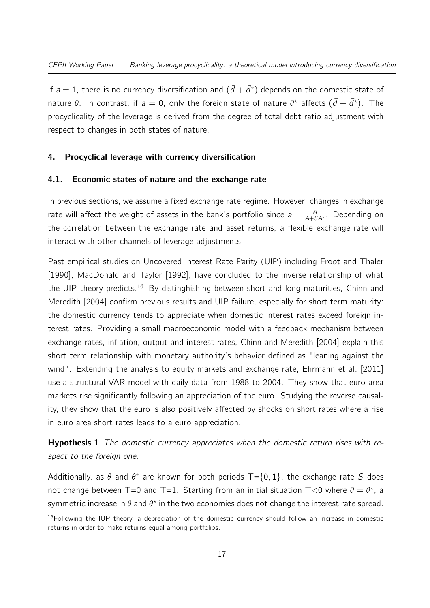If  $a = 1$ , there is no currency diversification and  $(\bar{d} + \bar{d}^*)$  depends on the domestic state of nature θ. In contrast, if  $a=0$ , only the foreign state of nature  $\theta^{\star}$  affects  $(\bar{d}+\bar{d}^{\star})$ . The procyclicality of the leverage is derived from the degree of total debt ratio adjustment with respect to changes in both states of nature.

#### 4. Procyclical leverage with currency diversification

#### 4.1. Economic states of nature and the exchange rate

In previous sections, we assume a fixed exchange rate regime. However, changes in exchange rate will affect the weight of assets in the bank's portfolio since  $a = \frac{A}{A+SA^*}$ . Depending on the correlation between the exchange rate and asset returns, a flexible exchange rate will interact with other channels of leverage adjustments.

Past empirical studies on Uncovered Interest Rate Parity (UIP) including [Froot and Thaler](#page-30-10) [\[1990\]](#page-30-10), [MacDonald and Taylor](#page-30-11) [\[1992\]](#page-30-11), have concluded to the inverse relationship of what the UIP theory predicts.<sup>[16](#page-2-0)</sup> By distinghishing between short and long maturities, [Chinn and](#page-30-12) [Meredith](#page-30-12) [\[2004\]](#page-30-12) confirm previous results and UIP failure, especially for short term maturity: the domestic currency tends to appreciate when domestic interest rates exceed foreign interest rates. Providing a small macroeconomic model with a feedback mechanism between exchange rates, inflation, output and interest rates, [Chinn and Meredith](#page-30-12) [\[2004\]](#page-30-12) explain this short term relationship with monetary authority's behavior defined as "leaning against the wind". Extending the analysis to equity markets and exchange rate, [Ehrmann et al.](#page-30-8) [\[2011\]](#page-30-8) use a structural VAR model with daily data from 1988 to 2004. They show that euro area markets rise significantly following an appreciation of the euro. Studying the reverse causality, they show that the euro is also positively affected by shocks on short rates where a rise in euro area short rates leads to a euro appreciation.

Hypothesis 1 The domestic currency appreciates when the domestic return rises with respect to the foreign one.

Additionally, as  $\theta$  and  $\theta^*$  are known for both periods T={0, 1}, the exchange rate S does not change between T=0 and T=1. Starting from an initial situation T<0 where  $\theta = \theta^*$ , a symmetric increase in  $\theta$  and  $\theta^*$  in the two economies does not change the interest rate spread.

 $16$ Following the IUP theory, a depreciation of the domestic currency should follow an increase in domestic returns in order to make returns equal among portfolios.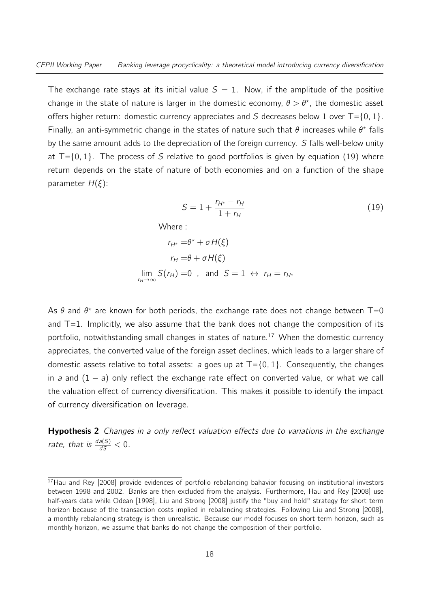The exchange rate stays at its initial value  $S = 1$ . Now, if the amplitude of the positive change in the state of nature is larger in the domestic economy,  $\theta > \theta^*$ , the domestic asset offers higher return: domestic currency appreciates and S decreases below 1 over  $T = \{0, 1\}$ . Finally, an anti-symmetric change in the states of nature such that  $\theta$  increases while  $\theta^*$  falls by the same amount adds to the depreciation of the foreign currency. S falls well-below unity at  $T=\{0, 1\}$ . The process of S relative to good portfolios is given by equation (19) where return depends on the state of nature of both economies and on a function of the shape parameter  $H(\xi)$ :

$$
S = 1 + \frac{r_{H^*} - r_H}{1 + r_H}
$$
 (19)

$$
r_{H^*} = \theta^* + \sigma H(\xi)
$$
  
\n
$$
r_H = \theta + \sigma H(\xi)
$$
  
\n
$$
\lim_{r_H \to \infty} S(r_H) = 0 \text{ , and } S = 1 \leftrightarrow r_H = r_{H^*}
$$

As  $\theta$  and  $\theta^*$  are known for both periods, the exchange rate does not change between T=0 and  $T=1$ . Implicitly, we also assume that the bank does not change the composition of its portfolio, notwithstanding small changes in states of nature.<sup>[17](#page-2-0)</sup> When the domestic currency appreciates, the converted value of the foreign asset declines, which leads to a larger share of domestic assets relative to total assets: a goes up at  $T = \{0, 1\}$ . Consequently, the changes in a and  $(1 - a)$  only reflect the exchange rate effect on converted value, or what we call the valuation effect of currency diversification. This makes it possible to identify the impact of currency diversification on leverage.

**Hypothesis 2** Changes in a only reflect valuation effects due to variations in the exchange rate, that is  $\frac{da(S)}{dS} < 0$ .

<sup>&</sup>lt;sup>17</sup>[Hau and Rey](#page-30-13) [\[2008\]](#page-30-13) provide evidences of portfolio rebalancing bahavior focusing on institutional investors between 1998 and 2002. Banks are then excluded from the analysis. Furthermore, [Hau and Rey](#page-30-13) [\[2008\]](#page-30-13) use half-years data while [Odean](#page-31-5) [\[1998\]](#page-31-5), [Liu and Strong](#page-30-14) [\[2008\]](#page-30-14) justify the "buy and hold" strategy for short term horizon because of the transaction costs implied in rebalancing strategies. Following [Liu and Strong](#page-30-14) [\[2008\]](#page-30-14), a monthly rebalancing strategy is then unrealistic. Because our model focuses on short term horizon, such as monthly horizon, we assume that banks do not change the composition of their portfolio.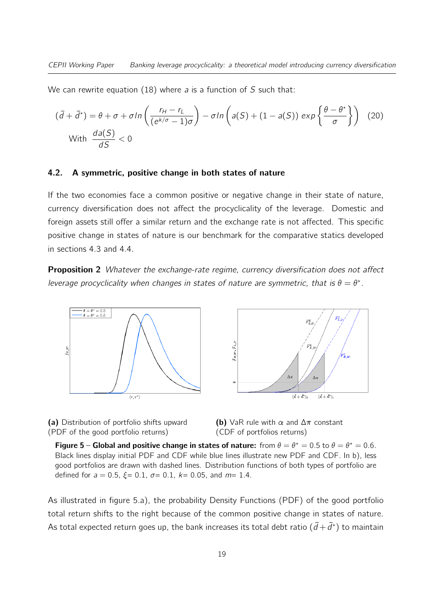We can rewrite equation (18) where  $a$  is a function of  $S$  such that:

$$
(\bar{d} + \bar{d}^*) = \theta + \sigma + \sigma \ln\left(\frac{r_H - r_L}{(e^{k/\sigma} - 1)\sigma}\right) - \sigma \ln\left(a(S) + (1 - a(S))\exp\left\{\frac{\theta - \theta^*}{\sigma}\right\}\right) \tag{20}
$$
  
With 
$$
\frac{da(S)}{dS} < 0
$$

#### 4.2. A symmetric, positive change in both states of nature

If the two economies face a common positive or negative change in their state of nature, currency diversification does not affect the procyclicality of the leverage. Domestic and foreign assets still offer a similar return and the exchange rate is not affected. This specific positive change in states of nature is our benchmark for the comparative statics developed in sections 4.3 and 4.4.

**Proposition 2** Whatever the exchange-rate regime, currency diversification does not affect leverage procyclicality when changes in states of nature are symmetric, that is  $\theta = \theta^*$ .









Figure 5 – Global and positive change in states of nature: from  $\theta = \theta^* = 0.5$  to  $\theta = \theta^* = 0.6$ . Black lines display initial PDF and CDF while blue lines illustrate new PDF and CDF. In b), less good portfolios are drawn with dashed lines. Distribution functions of both types of portfolio are defined for  $a = 0.5$ ,  $\xi = 0.1$ ,  $\sigma = 0.1$ ,  $k = 0.05$ , and  $m = 1.4$ .

As illustrated in figure 5.a), the probability Density Functions (PDF) of the good portfolio total return shifts to the right because of the common positive change in states of nature. As total expected return goes up, the bank increases its total debt ratio  $(\bar{d} + \bar{d}^\star)$  to maintain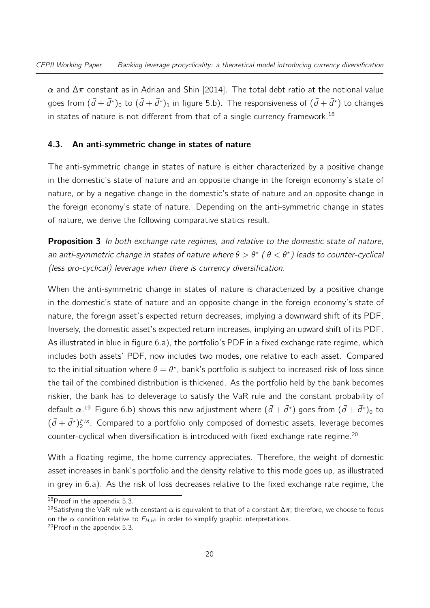$\alpha$  and  $\Delta\pi$  constant as in [Adrian and Shin](#page-30-0) [\[2014\]](#page-30-0). The total debt ratio at the notional value goes from  $(\bar{d}+\bar{d}^\star)_0$  to  $(\bar{d}+\bar{d}^\star)_1$  in figure 5.b). The responsiveness of  $(\bar{d}+\bar{d}^\star)$  to changes in states of nature is not different from that of a single currency framework.<sup>[18](#page-2-0)</sup>

#### 4.3. An anti-symmetric change in states of nature

The anti-symmetric change in states of nature is either characterized by a positive change in the domestic's state of nature and an opposite change in the foreign economy's state of nature, or by a negative change in the domestic's state of nature and an opposite change in the foreign economy's state of nature. Depending on the anti-symmetric change in states of nature, we derive the following comparative statics result.

**Proposition 3** In both exchange rate regimes, and relative to the domestic state of nature, an anti-symmetric change in states of nature where  $\theta > \theta^*$  ( $\theta < \theta^*$ ) leads to counter-cyclical (less pro-cyclical) leverage when there is currency diversification.

When the anti-symmetric change in states of nature is characterized by a positive change in the domestic's state of nature and an opposite change in the foreign economy's state of nature, the foreign asset's expected return decreases, implying a downward shift of its PDF. Inversely, the domestic asset's expected return increases, implying an upward shift of its PDF. As illustrated in blue in figure 6.a), the portfolio's PDF in a fixed exchange rate regime, which includes both assets' PDF, now includes two modes, one relative to each asset. Compared to the initial situation where  $\theta = \theta^*$ , bank's portfolio is subject to increased risk of loss since the tail of the combined distribution is thickened. As the portfolio held by the bank becomes riskier, the bank has to deleverage to satisfy the VaR rule and the constant probability of default  $\alpha.^{19}$  $\alpha.^{19}$  $\alpha.^{19}$  Figure 6.b) shows this new adjustment where  $(\bar{d}+\bar{d}^{\star})$  goes from  $(\bar{d}+\bar{d}^{\star})_0$  to  $(\bar{d} + \bar{d}^{\star})_2^{Fix}$ . Compared to a portfolio only composed of domestic assets, leverage becomes counter-cyclical when diversification is introduced with fixed exchange rate regime.<sup>[20](#page-2-0)</sup>

With a floating regime, the home currency appreciates. Therefore, the weight of domestic asset increases in bank's portfolio and the density relative to this mode goes up, as illustrated in grey in 6.a). As the risk of loss decreases relative to the fixed exchange rate regime, the

<sup>18</sup>Proof in the appendix 5.3.

<sup>&</sup>lt;sup>19</sup>Satisfying the VaR rule with constant  $\alpha$  is equivalent to that of a constant  $\Delta \pi$ ; therefore, we choose to focus on the  $\alpha$  condition relative to  $F_{H,H^*}$  in order to simplify graphic interpretations.

<sup>20</sup>Proof in the appendix 5.3.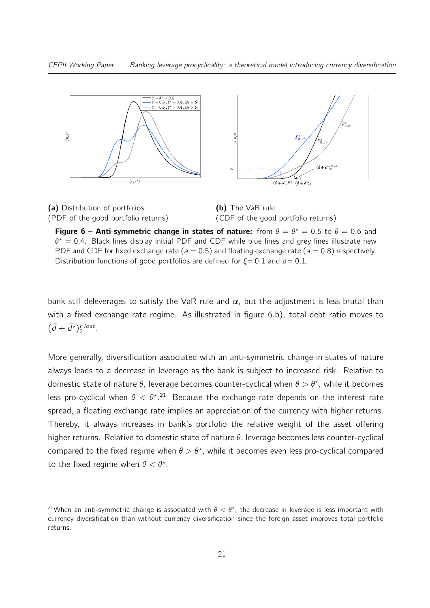





Figure 6 – Anti-symmetric change in states of nature: from  $\theta = \theta^* = 0.5$  to  $\theta = 0.6$  and  $\theta^* = 0.4$ . Black lines display initial PDF and CDF while blue lines and grey lines illustrate new PDF and CDF for fixed exchange rate ( $a = 0.5$ ) and floating exchange rate ( $a = 0.8$ ) respectively. Distribution functions of good portfolios are defined for  $\xi = 0.1$  and  $\sigma = 0.1$ .

bank still deleverages to satisfy the VaR rule and  $\alpha$ , but the adjustment is less brutal than with a fixed exchange rate regime. As illustrated in figure 6.b), total debt ratio moves to  $(\bar{d} + \bar{d}^{\star})_2^{Float}.$ 

More generally, diversification associated with an anti-symmetric change in states of nature always leads to a decrease in leverage as the bank is subject to increased risk. Relative to domestic state of nature  $\theta$ , leverage becomes counter-cyclical when  $\theta > \theta^*$ , while it becomes less pro-cyclical when  $\theta < \theta^*$ .<sup>[21](#page-2-0)</sup> Because the exchange rate depends on the interest rate spread, a floating exchange rate implies an appreciation of the currency with higher returns. Thereby, it always increases in bank's portfolio the relative weight of the asset offering higher returns. Relative to domestic state of nature  $\theta$ , leverage becomes less counter-cyclical compared to the fixed regime when  $\theta > \theta^*$ , while it becomes even less pro-cyclical compared to the fixed regime when  $\theta < \theta^*$ .

<sup>&</sup>lt;sup>21</sup>When an anti-symmetric change is associated with  $\theta < \theta^*$ , the decrease in leverage is less important with currency diversification than without currency diversification since the foreign asset improves total portfolio returns.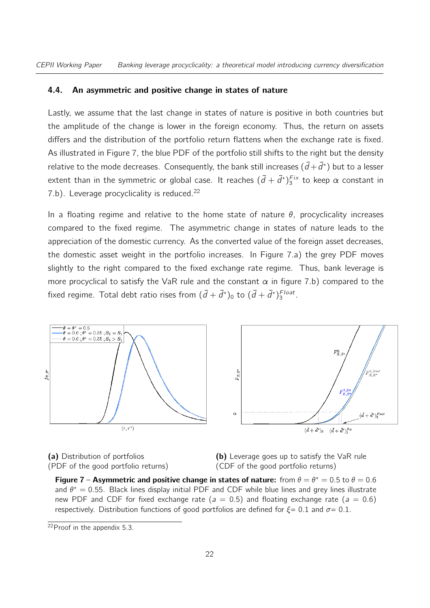#### 4.4. An asymmetric and positive change in states of nature

Lastly, we assume that the last change in states of nature is positive in both countries but the amplitude of the change is lower in the foreign economy. Thus, the return on assets differs and the distribution of the portfolio return flattens when the exchange rate is fixed. As illustrated in Figure 7, the blue PDF of the portfolio still shifts to the right but the density relative to the mode decreases. Consequently, the bank still increases  $(\bar{d}+\bar{d}^{\star})$  but to a lesser extent than in the symmetric or global case. It reaches  $(\bar{d}+\bar{d}^{\star})^{Fix}_3$  to keep  $\alpha$  constant in 7.b). Leverage procyclicality is reduced. $^{22}$  $^{22}$  $^{22}$ 

In a floating regime and relative to the home state of nature  $\theta$ , procyclicality increases compared to the fixed regime. The asymmetric change in states of nature leads to the appreciation of the domestic currency. As the converted value of the foreign asset decreases, the domestic asset weight in the portfolio increases. In Figure 7.a) the grey PDF moves slightly to the right compared to the fixed exchange rate regime. Thus, bank leverage is more procyclical to satisfy the VaR rule and the constant  $\alpha$  in figure 7.b) compared to the fixed regime. Total debt ratio rises from  $(\bar{d} + \bar{d}^{\star})_0$  to  $(\bar{d} + \bar{d}^{\star})_3^{F{load}}$ .





(a) Distribution of portfolios (PDF of the good portfolio returns) (b) Leverage goes up to satisfy the VaR rule (CDF of the good portfolio returns)

Figure 7 – Asymmetric and positive change in states of nature: from  $\theta = \theta^* = 0.5$  to  $\theta = 0.6$ and  $\theta^* = 0.55$ . Black lines display initial PDF and CDF while blue lines and grey lines illustrate new PDF and CDF for fixed exchange rate ( $a = 0.5$ ) and floating exchange rate ( $a = 0.6$ ) respectively. Distribution functions of good portfolios are defined for  $\xi = 0.1$  and  $\sigma = 0.1$ .

<sup>22</sup>Proof in the appendix 5.3.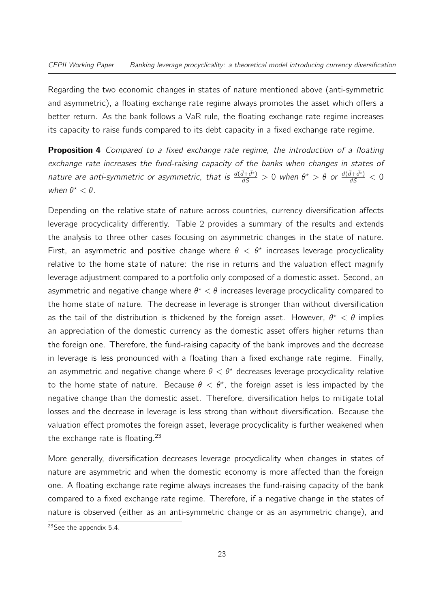Regarding the two economic changes in states of nature mentioned above (anti-symmetric and asymmetric), a floating exchange rate regime always promotes the asset which offers a better return. As the bank follows a VaR rule, the floating exchange rate regime increases its capacity to raise funds compared to its debt capacity in a fixed exchange rate regime.

**Proposition 4** Compared to a fixed exchange rate regime, the introduction of a floating exchange rate increases the fund-raising capacity of the banks when changes in states of nature are anti-symmetric or asymmetric, that is  $\frac{d(\bar{d}+\bar{d}^*)}{dS}>0$  when  $\theta^*> \theta$  or  $\frac{d(\bar{d}+\bar{d}^*)}{dS}<0$ when  $\theta^* < \theta$ .

Depending on the relative state of nature across countries, currency diversification affects leverage procyclicality differently. Table 2 provides a summary of the results and extends the analysis to three other cases focusing on asymmetric changes in the state of nature. First, an asymmetric and positive change where  $\theta < \theta^*$  increases leverage procyclicality relative to the home state of nature: the rise in returns and the valuation effect magnify leverage adjustment compared to a portfolio only composed of a domestic asset. Second, an asymmetric and negative change where  $\theta^* < \theta$  increases leverage procyclicality compared to the home state of nature. The decrease in leverage is stronger than without diversification as the tail of the distribution is thickened by the foreign asset. However,  $\theta^* < \theta$  implies an appreciation of the domestic currency as the domestic asset offers higher returns than the foreign one. Therefore, the fund-raising capacity of the bank improves and the decrease in leverage is less pronounced with a floating than a fixed exchange rate regime. Finally, an asymmetric and negative change where  $\theta < \theta^*$  decreases leverage procyclicality relative to the home state of nature. Because  $\theta < \theta^*$ , the foreign asset is less impacted by the negative change than the domestic asset. Therefore, diversification helps to mitigate total losses and the decrease in leverage is less strong than without diversification. Because the valuation effect promotes the foreign asset, leverage procyclicality is further weakened when the exchange rate is floating. $23$ 

More generally, diversification decreases leverage procyclicality when changes in states of nature are asymmetric and when the domestic economy is more affected than the foreign one. A floating exchange rate regime always increases the fund-raising capacity of the bank compared to a fixed exchange rate regime. Therefore, if a negative change in the states of nature is observed (either as an anti-symmetric change or as an asymmetric change), and

 $23$ See the appendix 5.4.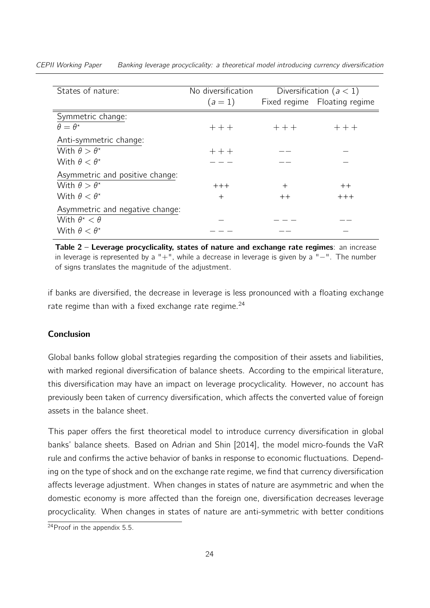| States of nature:               | No diversification | Diversification $(a < 1)$ |                              |
|---------------------------------|--------------------|---------------------------|------------------------------|
|                                 | $(a=1)$            |                           | Fixed regime Floating regime |
| Symmetric change:               |                    |                           |                              |
| $\theta = \theta^*$             | $++$               | $+ + +$                   | $++ +$                       |
| Anti-symmetric change:          |                    |                           |                              |
| With $\theta > \theta^*$        | $+++$              |                           |                              |
| With $\theta < \theta^*$        |                    |                           |                              |
| Asymmetric and positive change: |                    |                           |                              |
| With $\theta > \theta^*$        | $+++$              | $^{+}$                    | $++$                         |
| With $\theta < \theta^*$        | $^{+}$             | $++$                      | $+++$                        |
| Asymmetric and negative change: |                    |                           |                              |
| With $\theta^* < \theta$        |                    |                           |                              |
| With $\theta < \theta^*$        |                    |                           |                              |

CEPII Working Paper Banking leverage procyclicality: a theoretical model introducing currency diversification

Table 2 – Leverage procyclicality, states of nature and exchange rate regimes: an increase in leverage is represented by a "+", while a decrease in leverage is given by a "−". The number of signs translates the magnitude of the adjustment.

if banks are diversified, the decrease in leverage is less pronounced with a floating exchange rate regime than with a fixed exchange rate regime.<sup>[24](#page-2-0)</sup>

#### **Conclusion**

Global banks follow global strategies regarding the composition of their assets and liabilities, with marked regional diversification of balance sheets. According to the empirical literature, this diversification may have an impact on leverage procyclicality. However, no account has previously been taken of currency diversification, which affects the converted value of foreign assets in the balance sheet.

This paper offers the first theoretical model to introduce currency diversification in global banks' balance sheets. Based on [Adrian and Shin](#page-30-0) [\[2014\]](#page-30-0), the model micro-founds the VaR rule and confirms the active behavior of banks in response to economic fluctuations. Depending on the type of shock and on the exchange rate regime, we find that currency diversification affects leverage adjustment. When changes in states of nature are asymmetric and when the domestic economy is more affected than the foreign one, diversification decreases leverage procyclicality. When changes in states of nature are anti-symmetric with better conditions

<sup>24</sup>Proof in the appendix 5.5.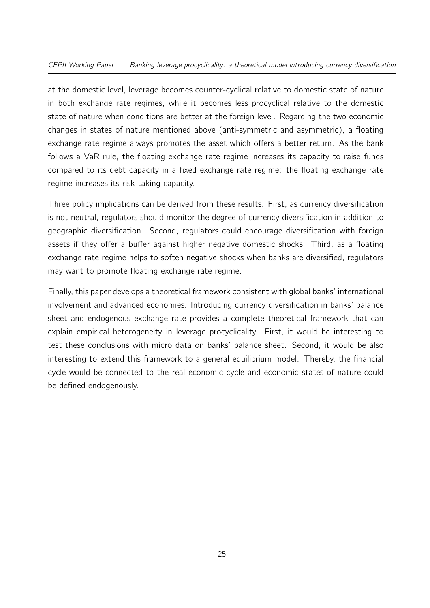#### CEPII Working Paper Banking leverage procyclicality: a theoretical model introducing currency diversification

at the domestic level, leverage becomes counter-cyclical relative to domestic state of nature in both exchange rate regimes, while it becomes less procyclical relative to the domestic state of nature when conditions are better at the foreign level. Regarding the two economic changes in states of nature mentioned above (anti-symmetric and asymmetric), a floating exchange rate regime always promotes the asset which offers a better return. As the bank follows a VaR rule, the floating exchange rate regime increases its capacity to raise funds compared to its debt capacity in a fixed exchange rate regime: the floating exchange rate regime increases its risk-taking capacity.

Three policy implications can be derived from these results. First, as currency diversification is not neutral, regulators should monitor the degree of currency diversification in addition to geographic diversification. Second, regulators could encourage diversification with foreign assets if they offer a buffer against higher negative domestic shocks. Third, as a floating exchange rate regime helps to soften negative shocks when banks are diversified, regulators may want to promote floating exchange rate regime.

Finally, this paper develops a theoretical framework consistent with global banks' international involvement and advanced economies. Introducing currency diversification in banks' balance sheet and endogenous exchange rate provides a complete theoretical framework that can explain empirical heterogeneity in leverage procyclicality. First, it would be interesting to test these conclusions with micro data on banks' balance sheet. Second, it would be also interesting to extend this framework to a general equilibrium model. Thereby, the financial cycle would be connected to the real economic cycle and economic states of nature could be defined endogenously.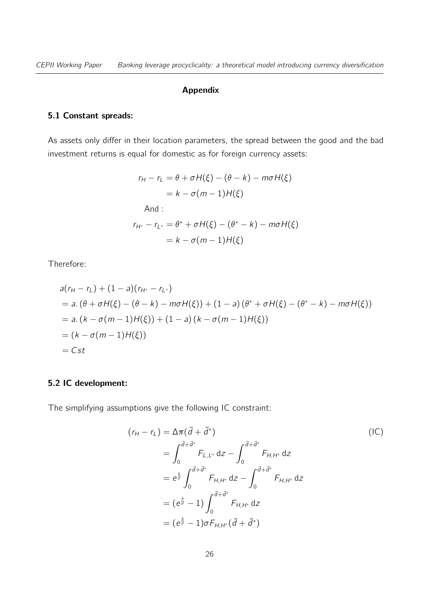#### Appendix

#### 5.1 Constant spreads:

As assets only differ in their location parameters, the spread between the good and the bad investment returns is equal for domestic as for foreign currency assets:

$$
r_{H} - r_{L} = \theta + \sigma H(\xi) - (\theta - k) - m\sigma H(\xi)
$$

$$
= k - \sigma(m - 1)H(\xi)
$$
And:
$$
r_{H^{*}} - r_{L^{*}} = \theta^{*} + \sigma H(\xi) - (\theta^{*} - k) - m\sigma H(\xi)
$$

$$
= k - \sigma(m - 1)H(\xi)
$$

Therefore:

$$
a(r_{H} - r_{L}) + (1 - a)(r_{H^{*}} - r_{L^{*}})
$$
  
=  $a \cdot (\theta + \sigma H(\xi) - (\theta - k) - m\sigma H(\xi)) + (1 - a)(\theta^{*} + \sigma H(\xi) - (\theta^{*} - k) - m\sigma H(\xi))$   
=  $a \cdot (k - \sigma(m - 1)H(\xi)) + (1 - a)(k - \sigma(m - 1)H(\xi))$   
=  $(k - \sigma(m - 1)H(\xi))$   
=  $Cst$ 

#### 5.2 IC development:

The simplifying assumptions give the following IC constraint:

$$
(r_H - r_L) = \Delta \pi (\bar{d} + \bar{d}^*)
$$
\n
$$
= \int_0^{\bar{d} + \bar{d}^*} F_{L,L^*} dz - \int_0^{\bar{d} + \bar{d}^*} F_{H,H^*} dz
$$
\n
$$
= e^{\frac{k}{\sigma}} \int_0^{\bar{d} + \bar{d}^*} F_{H,H^*} dz - \int_0^{\bar{d} + \bar{d}^*} F_{H,H^*} dz
$$
\n
$$
= (e^{\frac{k}{\sigma}} - 1) \int_0^{\bar{d} + \bar{d}^*} F_{H,H^*} dz
$$
\n
$$
= (e^{\frac{k}{\sigma}} - 1) \sigma F_{H,H^*} (\bar{d} + \bar{d}^*)
$$
\n(IC)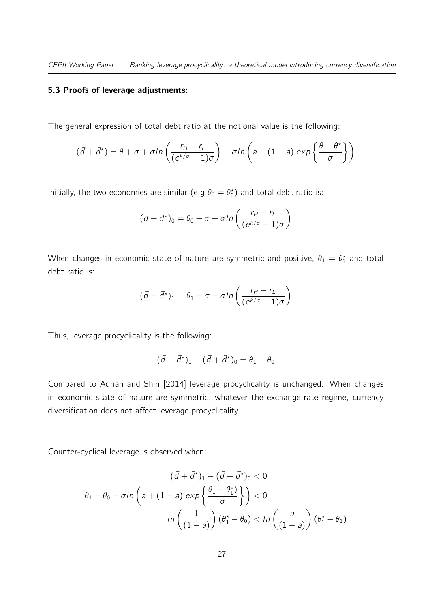#### 5.3 Proofs of leverage adjustments:

The general expression of total debt ratio at the notional value is the following:

$$
(\bar{d} + \bar{d}^*) = \theta + \sigma + \sigma \ln \left( \frac{r_H - r_L}{(e^{k/\sigma} - 1)\sigma} \right) - \sigma \ln \left( a + (1 - a) \exp \left\{ \frac{\theta - \theta^*}{\sigma} \right\} \right)
$$

Initially, the two economies are similar (e.g  $\theta_0 = \theta_0^*$ ) and total debt ratio is:

$$
(\bar{d} + \bar{d}^*)_0 = \theta_0 + \sigma + \sigma \ln \left( \frac{r_H - r_L}{(e^{k/\sigma} - 1)\sigma} \right)
$$

When changes in economic state of nature are symmetric and positive,  $\theta_1 = \theta_1^\star$  and total debt ratio is:

$$
(\bar{d} + \bar{d}^*)_1 = \theta_1 + \sigma + \sigma \ln \left( \frac{r_H - r_L}{(e^{k/\sigma} - 1)\sigma} \right)
$$

Thus, leverage procyclicality is the following:

$$
(\bar{d}+\bar{d}^{\star})_1-(\bar{d}+\bar{d}^{\star})_0=\theta_1-\theta_0
$$

Compared to [Adrian and Shin](#page-30-0) [\[2014\]](#page-30-0) leverage procyclicality is unchanged. When changes in economic state of nature are symmetric, whatever the exchange-rate regime, currency diversification does not affect leverage procyclicality.

Counter-cyclical leverage is observed when:

$$
(\bar{d} + \bar{d}^*)_1 - (\bar{d} + \bar{d}^*)_0 < 0
$$
\n
$$
\theta_1 - \theta_0 - \sigma \ln\left(a + (1 - a) \exp\left\{\frac{\theta_1 - \theta_1^*}{\sigma}\right\}\right) < 0
$$
\n
$$
\ln\left(\frac{1}{(1 - a)}\right)(\theta_1^* - \theta_0) < \ln\left(\frac{a}{(1 - a)}\right)(\theta_1^* - \theta_1)
$$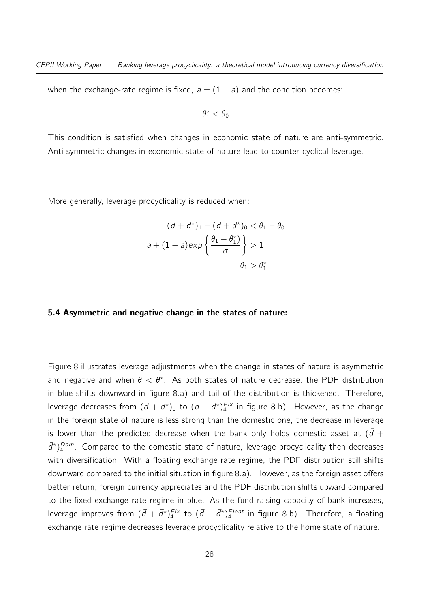when the exchange-rate regime is fixed,  $a = (1 - a)$  and the condition becomes:

$$
\theta_1^\star < \theta_0
$$

This condition is satisfied when changes in economic state of nature are anti-symmetric. Anti-symmetric changes in economic state of nature lead to counter-cyclical leverage.

More generally, leverage procyclicality is reduced when:

$$
(\bar{d} + \bar{d}^*)_1 - (\bar{d} + \bar{d}^*)_0 < \theta_1 - \theta_0
$$
\n
$$
a + (1 - a) \exp\left\{\frac{\theta_1 - \theta_1^*}{\sigma}\right\} > 1
$$
\n
$$
\theta_1 > \theta_1^*
$$

#### 5.4 Asymmetric and negative change in the states of nature:

Figure 8 illustrates leverage adjustments when the change in states of nature is asymmetric and negative and when  $\theta < \theta^*$ . As both states of nature decrease, the PDF distribution in blue shifts downward in figure 8.a) and tail of the distribution is thickened. Therefore, leverage decreases from  $(\bar{d}+\bar{d}^{\star})_0$  to  $(\bar{d}+\bar{d}^{\star})_4^{Fix}$  in figure 8.b). However, as the change in the foreign state of nature is less strong than the domestic one, the decrease in leverage is lower than the predicted decrease when the bank only holds domestic asset at  $(\bar{d} +$  $\bar{d}^*\rangle_{4}^{Dom}$ . Compared to the domestic state of nature, leverage procyclicality then decreases with diversification. With a floating exchange rate regime, the PDF distribution still shifts downward compared to the initial situation in figure 8.a). However, as the foreign asset offers better return, foreign currency appreciates and the PDF distribution shifts upward compared to the fixed exchange rate regime in blue. As the fund raising capacity of bank increases, leverage improves from  $(\bar{d}+\bar{d}^{\star})_4^{Fix}$  to  $(\bar{d}+\bar{d}^{\star})_4^{Float}$  in figure 8.b). Therefore, a floating exchange rate regime decreases leverage procyclicality relative to the home state of nature.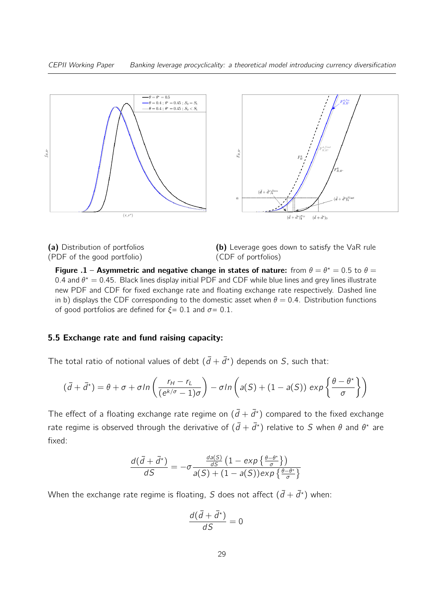

(a) Distribution of portfolios (PDF of the good portfolio)

(b) Leverage goes down to satisfy the VaR rule (CDF of portfolios)

Figure .1 – Asymmetric and negative change in states of nature: from  $\theta = \theta^* = 0.5$  to  $\theta =$ 0.4 and  $\theta^* = 0.45$ . Black lines display initial PDF and CDF while blue lines and grey lines illustrate new PDF and CDF for fixed exchange rate and floating exchange rate respectively. Dashed line in b) displays the CDF corresponding to the domestic asset when  $\theta = 0.4$ . Distribution functions of good portfolios are defined for  $\xi = 0.1$  and  $\sigma = 0.1$ .

#### 5.5 Exchange rate and fund raising capacity:

The total ratio of notional values of debt  $(\bar{d} + \bar{d}^{\star})$  depends on S, such that:

$$
(\bar{d} + \bar{d}^*) = \theta + \sigma + \sigma \ln \left( \frac{r_H - r_L}{(e^{k/\sigma} - 1)\sigma} \right) - \sigma \ln \left( a(S) + (1 - a(S)) \exp \left\{ \frac{\theta - \theta^*}{\sigma} \right\} \right)
$$

The effect of a floating exchange rate regime on  $(\bar{d} + \bar{d}^{\star})$  compared to the fixed exchange rate regime is observed through the derivative of  $(\bar{d} + \bar{d}^{\star})$  relative to S when  $\theta$  and  $\theta^{\star}$  are fixed:

$$
\frac{d(\bar{d} + \bar{d}^*)}{dS} = -\sigma \frac{\frac{da(S)}{dS} \left(1 - \exp\left\{\frac{\theta - \theta^*}{\sigma}\right\}\right)}{a(S) + (1 - a(S)) \exp\left\{\frac{\theta - \theta^*}{\sigma}\right\}}
$$

When the exchange rate regime is floating, S does not affect  $(\bar{d} + \bar{d}^{\star})$  when:

$$
\frac{d(\bar{d}+\bar{d}^{\star})}{dS}=0
$$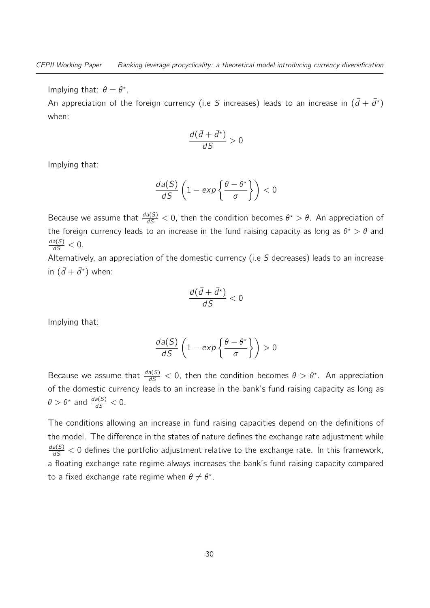Implying that:  $\theta = \theta^*$ .

An appreciation of the foreign currency (i.e S increases) leads to an increase in  $(\bar{d} + \bar{d}^{\star})$ when:

$$
\frac{d(\bar{d}+\bar{d}^{\star})}{dS}>0
$$

Implying that:

$$
\frac{da(S)}{dS}\left(1-\exp\left\{\frac{\theta-\theta^{\star}}{\sigma}\right\}\right)<0
$$

Because we assume that  $\frac{da(S)}{dS} < 0$ , then the condition becomes  $\theta^* > \theta$ . An appreciation of the foreign currency leads to an increase in the fund raising capacity as long as  $\theta^* > \theta$  and  $\frac{da(S)}{dS} < 0.$ 

Alternatively, an appreciation of the domestic currency (i.e S decreases) leads to an increase in  $(\bar{d} + \bar{d}^*)$  when:

$$
\frac{d(\bar{d}+\bar{d}^{\star})}{dS}<0
$$

Implying that:

$$
\frac{da(S)}{dS}\left(1-\exp\left\{\frac{\theta-\theta^*}{\sigma}\right\}\right)>0
$$

Because we assume that  $\frac{da(S)}{dS} < 0$ , then the condition becomes  $\theta > \theta^*$ . An appreciation of the domestic currency leads to an increase in the bank's fund raising capacity as long as  $\theta > \theta^\star$  and  $\frac{da(S)}{dS} < 0$ .

The conditions allowing an increase in fund raising capacities depend on the definitions of the model. The difference in the states of nature defines the exchange rate adjustment while  $\frac{da(S)}{dS}$  < 0 defines the portfolio adjustment relative to the exchange rate. In this framework, a floating exchange rate regime always increases the bank's fund raising capacity compared to a fixed exchange rate regime when  $\theta \neq \theta^*$ .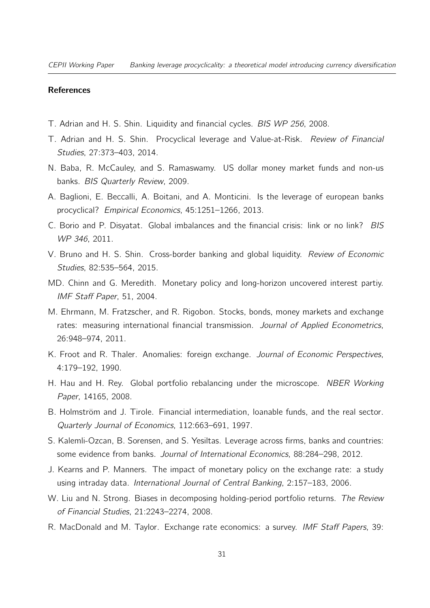#### **References**

- <span id="page-30-1"></span>T. Adrian and H. S. Shin. Liquidity and financial cycles. BIS WP 256, 2008.
- <span id="page-30-0"></span>T. Adrian and H. S. Shin. Procyclical leverage and Value-at-Risk. Review of Financial Studies, 27:373–403, 2014.
- <span id="page-30-5"></span>N. Baba, R. McCauley, and S. Ramaswamy. US dollar money market funds and non-us banks. BIS Quarterly Review, 2009.
- <span id="page-30-3"></span>A. Baglioni, E. Beccalli, A. Boitani, and A. Monticini. Is the leverage of european banks procyclical? Empirical Economics, 45:1251–1266, 2013.
- <span id="page-30-6"></span>C. Borio and P. Disyatat. Global imbalances and the financial crisis: link or no link? BIS WP 346, 2011.
- <span id="page-30-4"></span>V. Bruno and H. S. Shin. Cross-border banking and global liquidity. Review of Economic Studies, 82:535–564, 2015.
- <span id="page-30-12"></span>MD. Chinn and G. Meredith. Monetary policy and long-horizon uncovered interest partiy. IMF Staff Paper, 51, 2004.
- <span id="page-30-8"></span>M. Ehrmann, M. Fratzscher, and R. Rigobon. Stocks, bonds, money markets and exchange rates: measuring international financial transmission. Journal of Applied Econometrics, 26:948–974, 2011.
- <span id="page-30-10"></span>K. Froot and R. Thaler. Anomalies: foreign exchange. Journal of Economic Perspectives, 4:179–192, 1990.
- <span id="page-30-13"></span>H. Hau and H. Rey. Global portfolio rebalancing under the microscope. NBER Working Paper, 14165, 2008.
- <span id="page-30-9"></span>B. Holmström and J. Tirole. Financial intermediation, loanable funds, and the real sector. Quarterly Journal of Economics, 112:663–691, 1997.
- <span id="page-30-2"></span>S. Kalemli-Ozcan, B. Sorensen, and S. Yesiltas. Leverage across firms, banks and countries: some evidence from banks. Journal of International Economics, 88:284–298, 2012.
- <span id="page-30-7"></span>J. Kearns and P. Manners. The impact of monetary policy on the exchange rate: a study using intraday data. International Journal of Central Banking, 2:157–183, 2006.
- <span id="page-30-14"></span>W. Liu and N. Strong. Biases in decomposing holding-period portfolio returns. The Review of Financial Studies, 21:2243–2274, 2008.
- <span id="page-30-11"></span>R. MacDonald and M. Taylor. Exchange rate economics: a survey. IMF Staff Papers, 39: